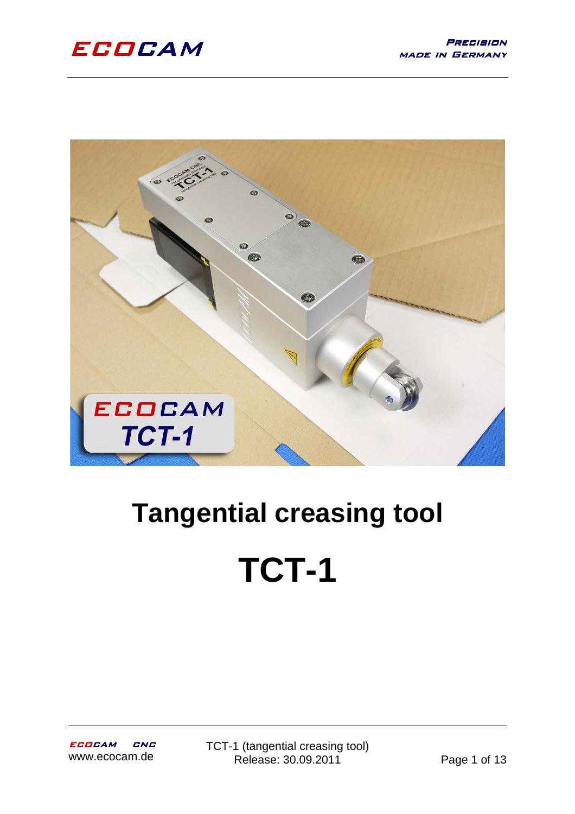

# **Tangential creasing tool TCT-1**

TCT-1 (tangential creasing tool) Release: 30.09.2011 Page 1 of 13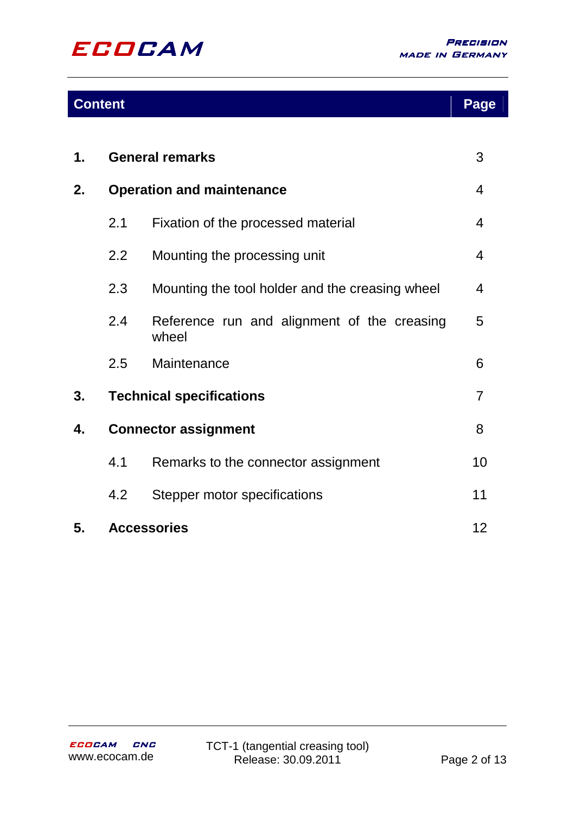

# **Content**

|--|

| 1. | <b>General remarks</b>           |                                                      | 3               |
|----|----------------------------------|------------------------------------------------------|-----------------|
| 2. | <b>Operation and maintenance</b> |                                                      | 4               |
|    | 2.1                              | Fixation of the processed material                   | 4               |
|    | 2.2                              | Mounting the processing unit                         | 4               |
|    | 2.3                              | Mounting the tool holder and the creasing wheel      | 4               |
|    | 2.4                              | Reference run and alignment of the creasing<br>wheel | 5               |
|    | 2.5                              | Maintenance                                          | 6               |
| 3. | <b>Technical specifications</b>  |                                                      | 7               |
| 4. | <b>Connector assignment</b>      |                                                      | 8               |
|    | 4.1                              | Remarks to the connector assignment                  | 10              |
|    | 4.2                              | Stepper motor specifications                         | 11              |
| 5. |                                  | <b>Accessories</b>                                   | 12 <sup>2</sup> |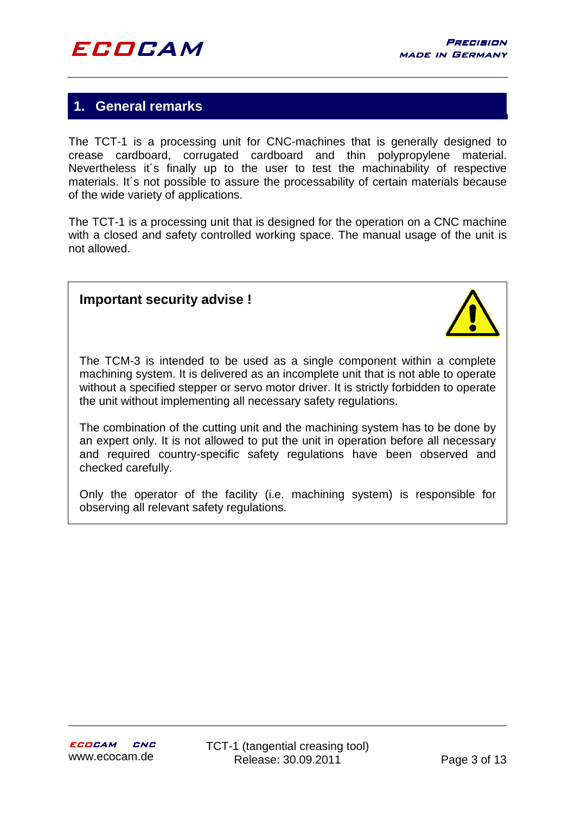# **1. General remarks**

The TCT-1 is a processing unit for CNC-machines that is generally designed to crease cardboard, corrugated cardboard and thin polypropylene material. Nevertheless it´s finally up to the user to test the machinability of respective materials. It´s not possible to assure the processability of certain materials because of the wide variety of applications.

The TCT-1 is a processing unit that is designed for the operation on a CNC machine with a closed and safety controlled working space. The manual usage of the unit is not allowed.

## **Important security advise !**



The TCM-3 is intended to be used as a single component within a complete machining system. It is delivered as an incomplete unit that is not able to operate without a specified stepper or servo motor driver. It is strictly forbidden to operate the unit without implementing all necessary safety regulations.

The combination of the cutting unit and the machining system has to be done by an expert only. It is not allowed to put the unit in operation before all necessary and required country-specific safety regulations have been observed and checked carefully.

Only the operator of the facility (i.e. machining system) is responsible for observing all relevant safety regulations.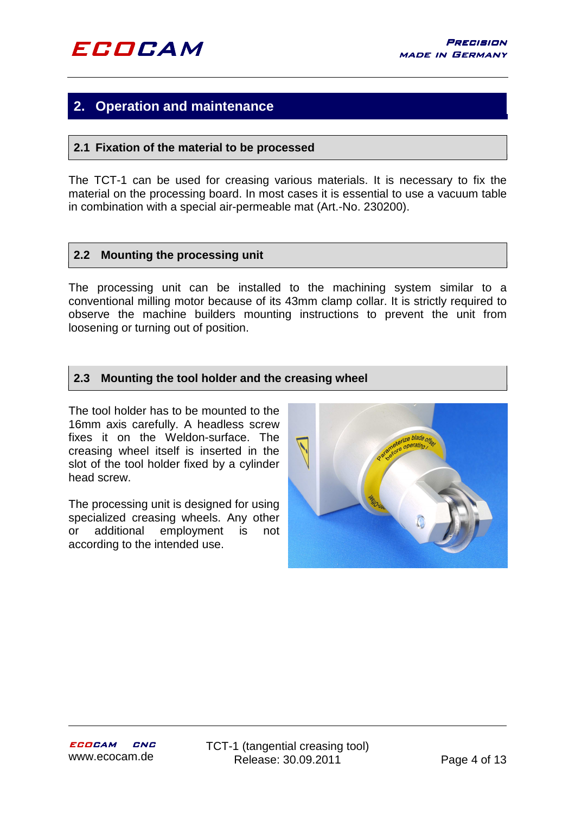# **2. Operation and maintenance**

#### **2.1 Fixation of the material to be processed**

The TCT-1 can be used for creasing various materials. It is necessary to fix the material on the processing board. In most cases it is essential to use a vacuum table in combination with a special air-permeable mat (Art.-No. 230200).

#### **2.2 Mounting the processing unit**

The processing unit can be installed to the machining system similar to a conventional milling motor because of its 43mm clamp collar. It is strictly required to observe the machine builders mounting instructions to prevent the unit from loosening or turning out of position.

#### **2.3 Mounting the tool holder and the creasing wheel**

The tool holder has to be mounted to the 16mm axis carefully. A headless screw fixes it on the Weldon-surface. The creasing wheel itself is inserted in the slot of the tool holder fixed by a cylinder head screw.

The processing unit is designed for using specialized creasing wheels. Any other or additional employment is not according to the intended use.

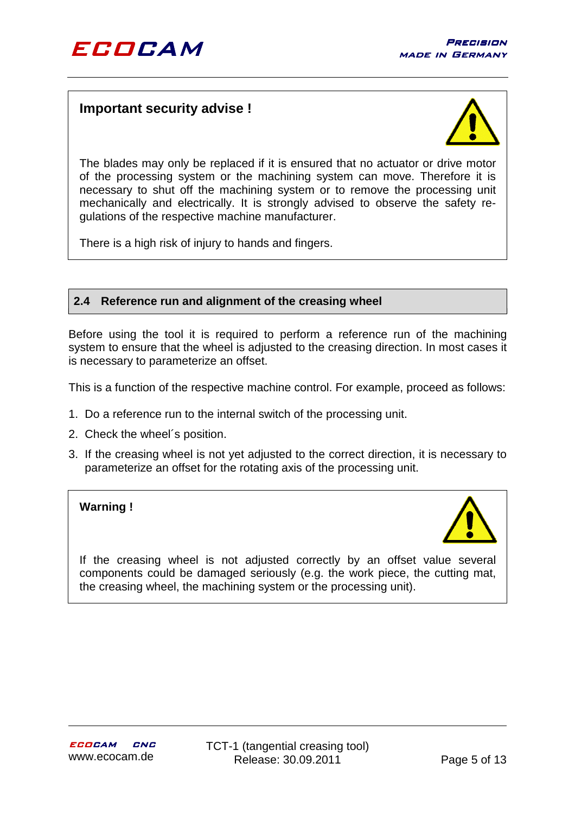## **Important security advise !**



The blades may only be replaced if it is ensured that no actuator or drive motor of the processing system or the machining system can move. Therefore it is necessary to shut off the machining system or to remove the processing unit mechanically and electrically. It is strongly advised to observe the safety regulations of the respective machine manufacturer.

There is a high risk of injury to hands and fingers.

#### **2.4 Reference run and alignment of the creasing wheel**

Before using the tool it is required to perform a reference run of the machining system to ensure that the wheel is adjusted to the creasing direction. In most cases it is necessary to parameterize an offset.

This is a function of the respective machine control. For example, proceed as follows:

- 1. Do a reference run to the internal switch of the processing unit.
- 2. Check the wheel´s position.
- 3. If the creasing wheel is not yet adjusted to the correct direction, it is necessary to parameterize an offset for the rotating axis of the processing unit.

#### **Warning !**



If the creasing wheel is not adjusted correctly by an offset value several components could be damaged seriously (e.g. the work piece, the cutting mat, the creasing wheel, the machining system or the processing unit).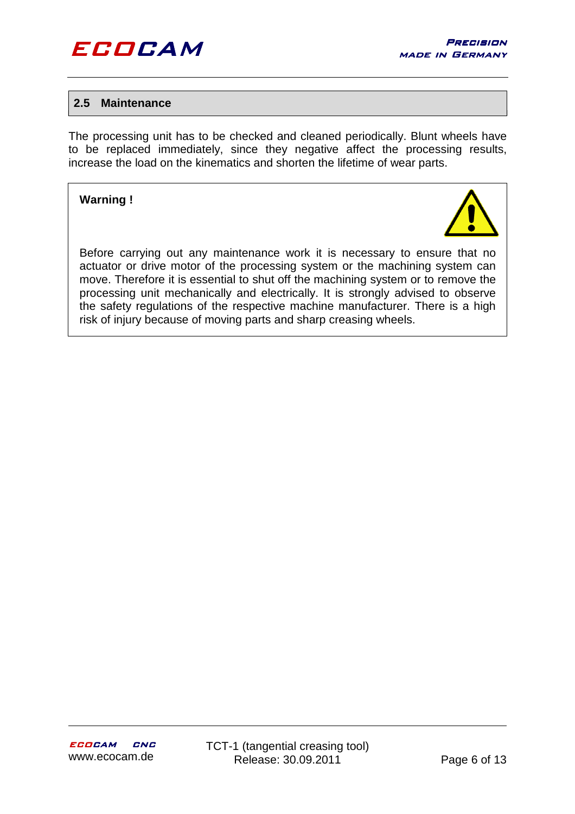

#### **2.5 Maintenance**

The processing unit has to be checked and cleaned periodically. Blunt wheels have to be replaced immediately, since they negative affect the processing results, increase the load on the kinematics and shorten the lifetime of wear parts.

#### **Warning !**



Before carrying out any maintenance work it is necessary to ensure that no actuator or drive motor of the processing system or the machining system can move. Therefore it is essential to shut off the machining system or to remove the processing unit mechanically and electrically. It is strongly advised to observe the safety regulations of the respective machine manufacturer. There is a high risk of injury because of moving parts and sharp creasing wheels.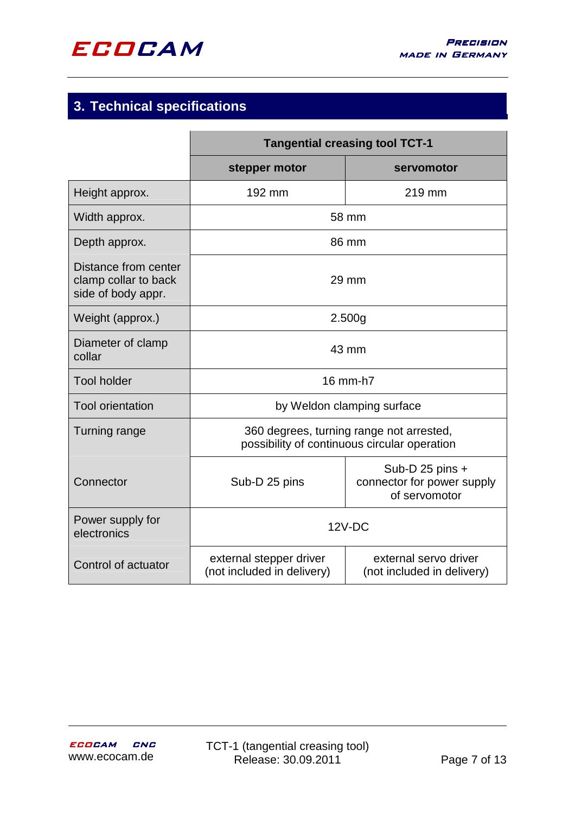

# **3. Technical specifications**

|                                                                    | <b>Tangential creasing tool TCT-1</b>                                                    |                                                                  |  |
|--------------------------------------------------------------------|------------------------------------------------------------------------------------------|------------------------------------------------------------------|--|
|                                                                    | stepper motor                                                                            | servomotor                                                       |  |
| Height approx.                                                     | 192 mm                                                                                   | 219 mm                                                           |  |
| Width approx.                                                      | 58 mm                                                                                    |                                                                  |  |
| Depth approx.                                                      | 86 mm                                                                                    |                                                                  |  |
| Distance from center<br>clamp collar to back<br>side of body appr. | $29 \text{ mm}$                                                                          |                                                                  |  |
| Weight (approx.)                                                   | 2.500g                                                                                   |                                                                  |  |
| Diameter of clamp<br>collar                                        | 43 mm                                                                                    |                                                                  |  |
| <b>Tool holder</b>                                                 | 16 mm-h7                                                                                 |                                                                  |  |
| <b>Tool orientation</b>                                            | by Weldon clamping surface                                                               |                                                                  |  |
| Turning range                                                      | 360 degrees, turning range not arrested,<br>possibility of continuous circular operation |                                                                  |  |
| Connector                                                          | Sub-D 25 pins                                                                            | Sub-D 25 pins $+$<br>connector for power supply<br>of servomotor |  |
| Power supply for<br>electronics                                    | $12V-DC$                                                                                 |                                                                  |  |
| Control of actuator                                                | external stepper driver<br>(not included in delivery)                                    | external servo driver<br>(not included in delivery)              |  |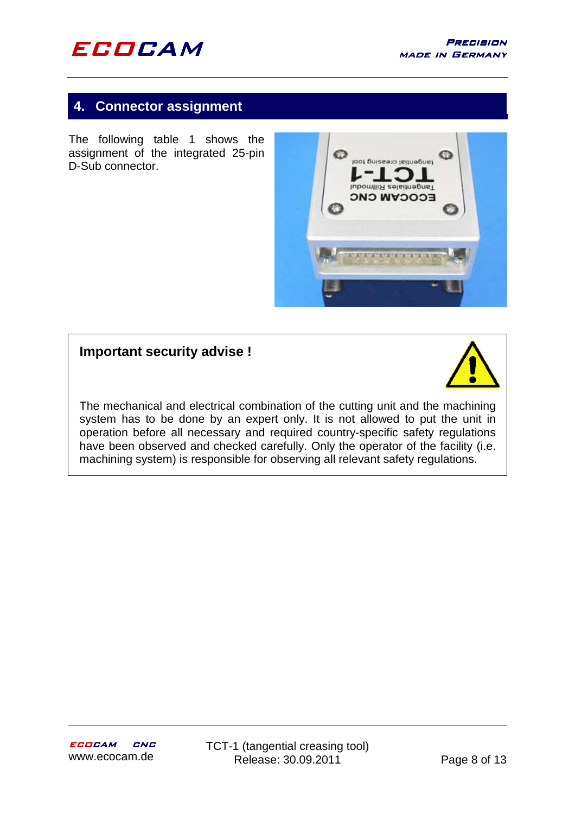

# **4. Connector assignment**

The following table 1 shows the assignment of the integrated 25-pin D-Sub connector.



# **Important security advise !**



The mechanical and electrical combination of the cutting unit and the machining system has to be done by an expert only. It is not allowed to put the unit in operation before all necessary and required country-specific safety regulations have been observed and checked carefully. Only the operator of the facility (i.e. machining system) is responsible for observing all relevant safety regulations.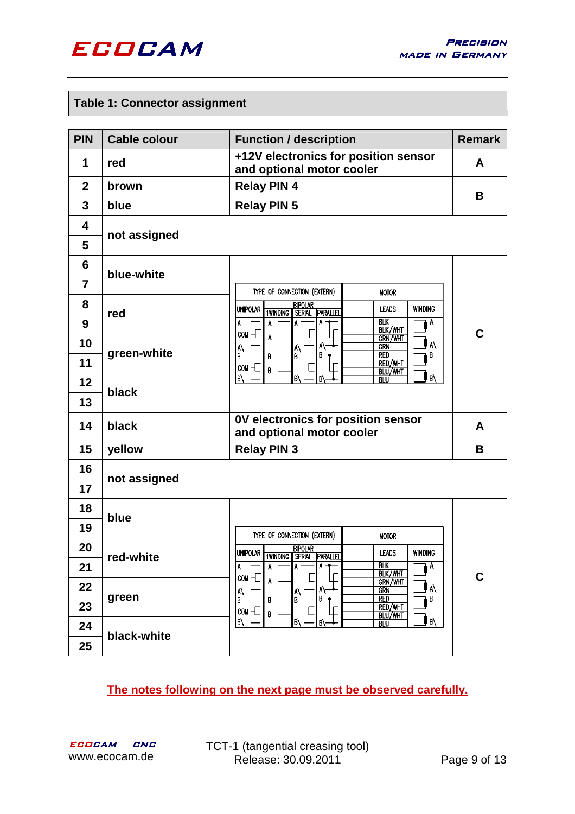

#### **Table 1: Connector assignment**

| <b>PIN</b>                   | <b>Cable colour</b>          | <b>Function / description</b>                                                                                                                                   | <b>Remark</b> |  |
|------------------------------|------------------------------|-----------------------------------------------------------------------------------------------------------------------------------------------------------------|---------------|--|
| 1                            | red                          | +12V electronics for position sensor<br>and optional motor cooler                                                                                               | A             |  |
| $\mathbf{2}$                 | brown                        | <b>Relay PIN 4</b>                                                                                                                                              | B             |  |
| 3                            | blue                         | <b>Relay PIN 5</b>                                                                                                                                              |               |  |
| $\overline{\mathbf{4}}$<br>5 | not assigned                 |                                                                                                                                                                 |               |  |
| $6\phantom{1}6$              |                              |                                                                                                                                                                 |               |  |
| $\overline{7}$               | blue-white                   | TYPE OF CONNECTION (EXTERN)<br><b>MOTOR</b>                                                                                                                     |               |  |
| 8<br>9                       | red                          | <b>BIPOLAR</b><br><b>UNIPOLAR</b><br><b>WINDING</b><br><b>LEADS</b><br><b>1WINDING SERIAL</b><br><b>PARALLEL</b><br><b>BLK</b><br>A<br>A<br>A<br><b>BLK/WHT</b> |               |  |
| 10                           |                              | $\cos$ $\pm$<br>A<br>GRN/WHT<br>A١<br><b>GRN</b>                                                                                                                | C             |  |
| 11                           | green-white                  | A\<br>B<br>$\mathsf{A}^\mathsf{A}_\mathsf{B}$<br><b>RED</b><br>В<br>B<br>В<br>RED/WHT<br>$\cos$ -C<br>B<br>BLU/WHT                                              |               |  |
| 12                           | black                        | l B/<br>B١<br>IB١<br>B<br><b>BLU</b>                                                                                                                            |               |  |
| 13                           |                              |                                                                                                                                                                 |               |  |
| 14                           | black                        | OV electronics for position sensor<br>and optional motor cooler                                                                                                 |               |  |
| 15                           | <b>Relay PIN 3</b><br>yellow |                                                                                                                                                                 | B             |  |
| 16<br>17                     | not assigned                 |                                                                                                                                                                 |               |  |
| 18                           | blue                         |                                                                                                                                                                 |               |  |
| 19                           |                              | TYPE OF CONNECTION (EXTERN)<br><b>MOTOR</b>                                                                                                                     |               |  |
| 20                           | red-white                    | <b>BIPOLAR</b><br>UNIPOLAR TWINDING SERIAL PARALLEL<br><b>WINDING</b><br><b>LEADS</b>                                                                           |               |  |
| 21                           |                              | <b>BLK</b><br>Α<br>A<br><b>BLK/WHT</b>                                                                                                                          | C             |  |
| 22                           |                              | COM -<br><b>GRN/WHT</b><br>A\<br><b>GRN</b><br> A\<br> B<br>A١                                                                                                  |               |  |
| 23                           | green                        | <b>RED</b><br>В<br>lв۰<br>в<br>B<br>RED/WHT<br>$com -$<br>B<br>BLU/WHT                                                                                          |               |  |
| 24                           | black-white                  | l B/<br>۱B/<br>IB/<br>B<br><b>BLU</b>                                                                                                                           |               |  |
| 25                           |                              |                                                                                                                                                                 |               |  |

## **The notes following on the next page must be observed carefully.**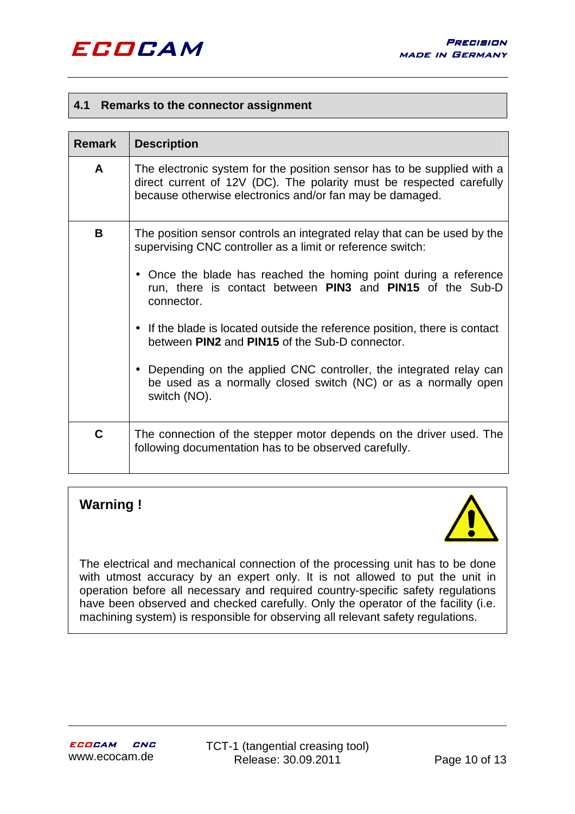#### **4.1 Remarks to the connector assignment**

| <b>Remark</b> | <b>Description</b>                                                                                                                                                                                                                                                                                                                                                                                                                                                                                                                                                             |  |  |
|---------------|--------------------------------------------------------------------------------------------------------------------------------------------------------------------------------------------------------------------------------------------------------------------------------------------------------------------------------------------------------------------------------------------------------------------------------------------------------------------------------------------------------------------------------------------------------------------------------|--|--|
| A             | The electronic system for the position sensor has to be supplied with a<br>direct current of 12V (DC). The polarity must be respected carefully<br>because otherwise electronics and/or fan may be damaged.                                                                                                                                                                                                                                                                                                                                                                    |  |  |
| B.            | The position sensor controls an integrated relay that can be used by the<br>supervising CNC controller as a limit or reference switch:<br>• Once the blade has reached the homing point during a reference<br>run, there is contact between PIN3 and PIN15 of the Sub-D<br>connector.<br>• If the blade is located outside the reference position, there is contact<br>between PIN2 and PIN15 of the Sub-D connector.<br>• Depending on the applied CNC controller, the integrated relay can<br>be used as a normally closed switch (NC) or as a normally open<br>switch (NO). |  |  |
| C             | The connection of the stepper motor depends on the driver used. The<br>following documentation has to be observed carefully.                                                                                                                                                                                                                                                                                                                                                                                                                                                   |  |  |

# **Warning !**



The electrical and mechanical connection of the processing unit has to be done with utmost accuracy by an expert only. It is not allowed to put the unit in operation before all necessary and required country-specific safety regulations have been observed and checked carefully. Only the operator of the facility (i.e. machining system) is responsible for observing all relevant safety regulations.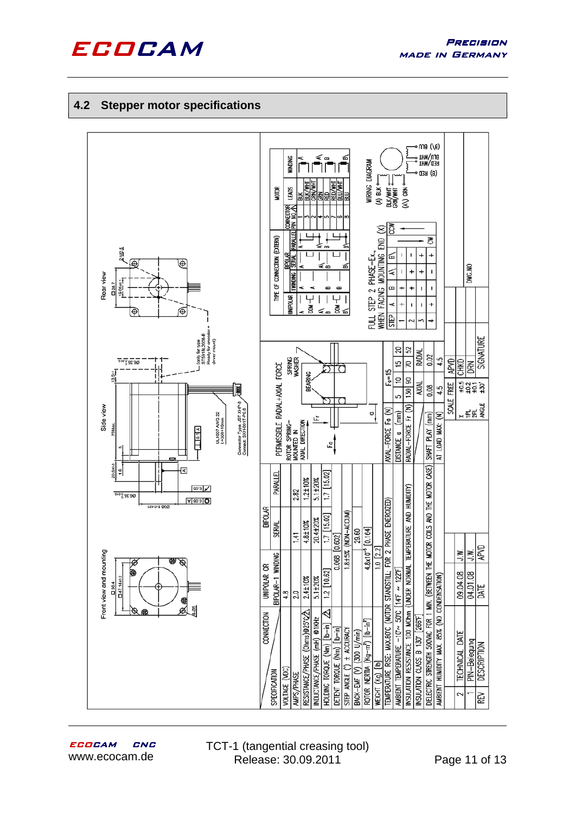

#### **4.2 Stepper motor specifications**

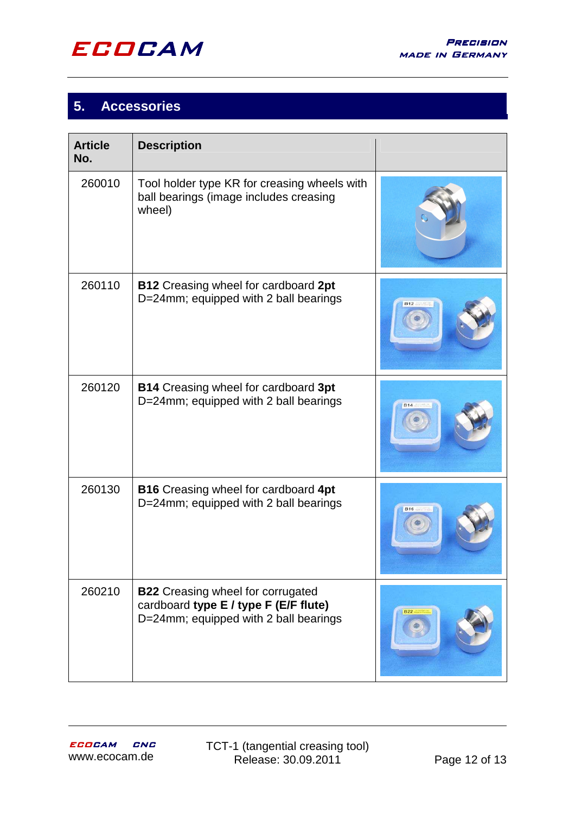

# **5. Accessories**

| <b>Article</b><br>No. | <b>Description</b>                                                                                                         |  |
|-----------------------|----------------------------------------------------------------------------------------------------------------------------|--|
| 260010                | Tool holder type KR for creasing wheels with<br>ball bearings (image includes creasing<br>wheel)                           |  |
| 260110                | <b>B12</b> Creasing wheel for cardboard 2pt<br>D=24mm; equipped with 2 ball bearings                                       |  |
| 260120                | <b>B14</b> Creasing wheel for cardboard 3pt<br>D=24mm; equipped with 2 ball bearings                                       |  |
| 260130                | <b>B16</b> Creasing wheel for cardboard 4pt<br>D=24mm; equipped with 2 ball bearings                                       |  |
| 260210                | <b>B22</b> Creasing wheel for corrugated<br>cardboard type E / type F (E/F flute)<br>D=24mm; equipped with 2 ball bearings |  |